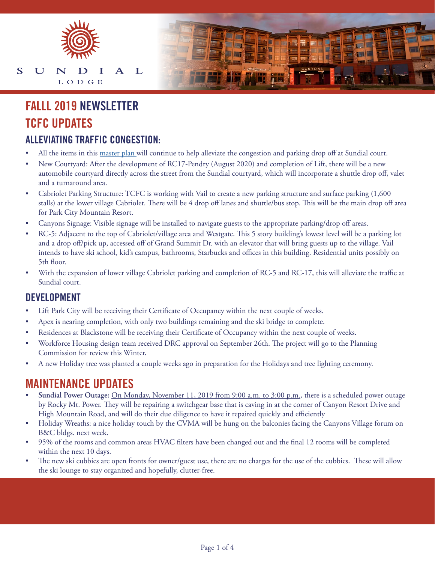

#### S U  $\mathbf{L}$ N I  $\mathbf{A}$ LODGE

# **TCFC UPDATES FALLL 2019 NEWSLETTER**

#### **ALLEVIATING TRAFFIC CONGESTION:**

- All the items in this [master plan](https://www.allseasonsresortlodging.com/wp-content/uploads/2019/11/TCFC-Site-Plans.pdf) will continue to help alleviate the congestion and parking drop off at Sundial court.
- New Courtyard: After the development of RC17-Pendry (August 2020) and completion of Lift, there will be a new automobile courtyard directly across the street from the Sundial courtyard, which will incorporate a shuttle drop off, valet and a turnaround area.
- Cabriolet Parking Structure: TCFC is working with Vail to create a new parking structure and surface parking (1,600 stalls) at the lower village Cabriolet. There will be 4 drop off lanes and shuttle/bus stop. This will be the main drop off area for Park City Mountain Resort.
- Canyons Signage: Visible signage will be installed to navigate guests to the appropriate parking/drop off areas.
- RC-5: Adjacent to the top of Cabriolet/village area and Westgate. This 5 story building's lowest level will be a parking lot and a drop off/pick up, accessed off of Grand Summit Dr. with an elevator that will bring guests up to the village. Vail intends to have ski school, kid's campus, bathrooms, Starbucks and offices in this building. Residential units possibly on 5th floor.
- With the expansion of lower village Cabriolet parking and completion of RC-5 and RC-17, this will alleviate the traffic at Sundial court.

#### **DEVELOPMENT**

- Lift Park City will be receiving their Certificate of Occupancy within the next couple of weeks.
- Apex is nearing completion, with only two buildings remaining and the ski bridge to complete.
- Residences at Blackstone will be receiving their Certificate of Occupancy within the next couple of weeks.
- Workforce Housing design team received DRC approval on September 26th. The project will go to the Planning Commission for review this Winter.
- A new Holiday tree was planted a couple weeks ago in preparation for the Holidays and tree lighting ceremony.

#### **MAINTENANCE UPDATES**

- **• Sundial Power Outage:** On Monday, November 11, 2019 from 9:00 a.m. to 3:00 p.m., there is a scheduled power outage by Rocky Mt. Power. They will be repairing a switchgear base that is caving in at the corner of Canyon Resort Drive and High Mountain Road, and will do their due diligence to have it repaired quickly and efficiently
- Holiday Wreaths: a nice holiday touch by the CVMA will be hung on the balconies facing the Canyons Village forum on B&C bldgs. next week.
- 95% of the rooms and common areas HVAC filters have been changed out and the final 12 rooms will be completed within the next 10 days.
- The new ski cubbies are open fronts for owner/guest use, there are no charges for the use of the cubbies. These will allow the ski lounge to stay organized and hopefully, clutter-free.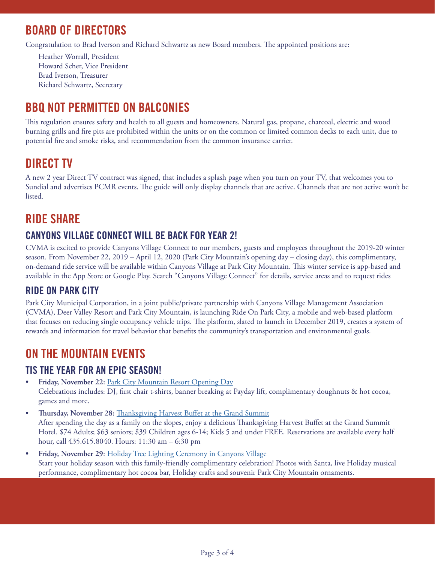## **BOARD OF DIRECTORS**

Congratulation to Brad Iverson and Richard Schwartz as new Board members. The appointed positions are:

Heather Worrall, President Howard Scher, Vice President Brad Iverson, Treasurer Richard Schwartz, Secretary

## **BBQ NOT PERMITTED ON BALCONIES**

This regulation ensures safety and health to all guests and homeowners. Natural gas, propane, charcoal, electric and wood burning grills and fire pits are prohibited within the units or on the common or limited common decks to each unit, due to potential fire and smoke risks, and recommendation from the common insurance carrier.

## **DIRECT TV**

A new 2 year Direct TV contract was signed, that includes a splash page when you turn on your TV, that welcomes you to Sundial and advertises PCMR events. The guide will only display channels that are active. Channels that are not active won't be listed.

## **RIDE SHARE**

#### **CANYONS VILLAGE CONNECT WILL BE BACK FOR YEAR 2!**

CVMA is excited to provide Canyons Village Connect to our members, guests and employees throughout the 2019-20 winter season. From November 22, 2019 – April 12, 2020 (Park City Mountain's opening day – closing day), this complimentary, on-demand ride service will be available within Canyons Village at Park City Mountain. This winter service is app-based and available in the App Store or Google Play. Search "Canyons Village Connect" for details, service areas and to request rides

#### **RIDE ON PARK CITY**

Park City Municipal Corporation, in a joint public/private partnership with Canyons Village Management Association (CVMA), Deer Valley Resort and Park City Mountain, is launching Ride On Park City, a mobile and web-based platform that focuses on reducing single occupancy vehicle trips. The platform, slated to launch in December 2019, creates a system of rewards and information for travel behavior that benefits the community's transportation and environmental goals.

## **ON THE MOUNTAIN EVENTS**

#### **TIS THE YEAR FOR AN EPIC SEASON!**

- **• Friday, November 22:** [Park City Mountain Resort Opening Day](https://www.parkcitymountain.com/explore-the-resort/during-your-stay/event-detail-page.aspx?id=%7b10fe706d-4650-4279-a094-4c14f94ac1c9%7d&sd=11%2F22%2F2019&ed=04%2F12%2F2020) Celebrations includes: DJ, first chair t-shirts, banner breaking at Payday lift, complimentary doughnuts & hot cocoa, games and more.
- **• Thursday, November 28:** [Thanksgiving Harvest Buffet at the Grand Summit](https://cvma.com/events/event/thanksgiving-harvest-buffet/) After spending the day as a family on the slopes, enjoy a delicious Thanksgiving Harvest Buffet at the Grand Summit Hotel. \$74 Adults; \$63 seniors; \$39 Children ages 6-14; Kids 5 and under FREE. Reservations are available every half hour, call 435.615.8040. Hours: 11:30 am – 6:30 pm
- **• Friday, November 29**: [Holiday Tree Lighting Ceremony in Canyons Village](https://www.parkcitymountain.com/explore-the-resort/during-your-stay/event-detail-page.aspx?id=%7bcec07736-225b-4be1-bc7d-e06f49d888b1%7d&sd=11%2F22%2F2019&ed=04%2F12%2F2020) Start your holiday season with this family-friendly complimentary celebration! Photos with Santa, live Holiday musical performance, complimentary hot cocoa bar, Holiday crafts and souvenir Park City Mountain ornaments.